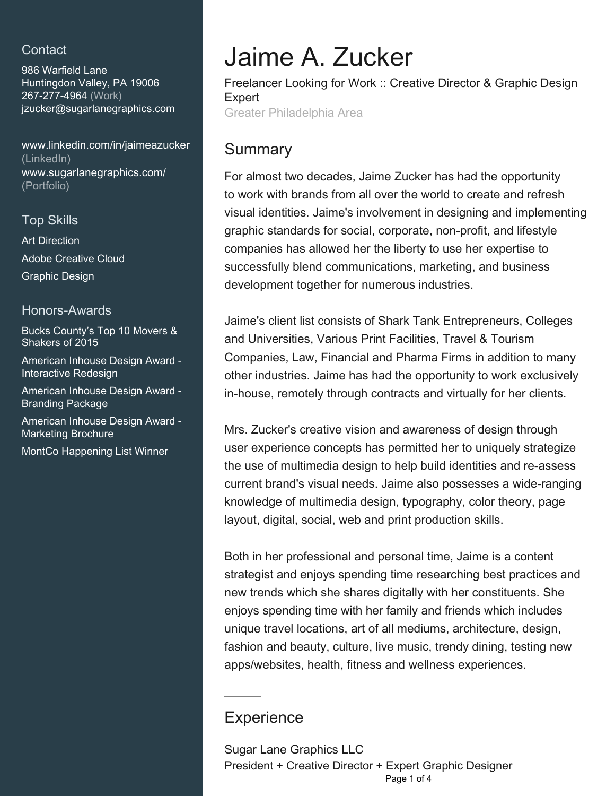## **Contact**

986 Warfield Lane Huntingdon Valley, PA 19006 267-277-4964 (Work) [jzucker@sugarlanegraphics.c](mailto:jzucker@sugarlanegraphics.com)om

[www.linkedin.com/in/jaimeazucker](https://www.linkedin.com/in/jaimeazucker?jobid=1234&lipi=urn%3Ali%3Apage%3Ad_jobs_easyapply_pdfgenresume%3BNczuq6FuTVCFWy%2BlbofYmg%3D%3D&licu=urn%3Ali%3Acontrol%3Ad_jobs_easyapply_pdfgenresume-v02_profile) [\(LinkedIn\)](https://www.linkedin.com/in/jaimeazucker?jobid=1234&lipi=urn%3Ali%3Apage%3Ad_jobs_easyapply_pdfgenresume%3BNczuq6FuTVCFWy%2BlbofYmg%3D%3D&licu=urn%3Ali%3Acontrol%3Ad_jobs_easyapply_pdfgenresume-v02_profile) [www.sugarlanegraphics.com/](http://www.sugarlanegraphics.com/) [\(Portfolio\)](http://www.sugarlanegraphics.com/)

## Top Skills

Art Direction Adobe Creative Cloud Graphic Design

### Honors-Awards

Bucks County's Top 10 Movers & Shakers of 2015

American Inhouse Design Award - Interactive Redesign

American Inhouse Design Award - Branding Package

American Inhouse Design Award - Marketing Brochure

MontCo Happening List Winner

# Jaime A. Zucker

Freelancer Looking for Work :: Creative Director & Graphic Design Expert Greater Philadelphia Area

## **Summary**

For almost two decades, Jaime Zucker has had the opportunity to work with brands from all over the world to create and refresh visual identities. Jaime's involvement in designing and implementing graphic standards for social, corporate, non-profit, and lifestyle companies has allowed her the liberty to use her expertise to successfully blend communications, marketing, and business development together for numerous industries.

Jaime's client list consists of Shark Tank Entrepreneurs, Colleges and Universities, Various Print Facilities, Travel & Tourism Companies, Law, Financial and Pharma Firms in addition to many other industries. Jaime has had the opportunity to work exclusively in-house, remotely through contracts and virtually for her clients.

Mrs. Zucker's creative vision and awareness of design through user experience concepts has permitted her to uniquely strategize the use of multimedia design to help build identities and re-assess current brand's visual needs. Jaime also possesses a wide-ranging knowledge of multimedia design, typography, color theory, page layout, digital, social, web and print production skills.

Both in her professional and personal time, Jaime is a content strategist and enjoys spending time researching best practices and new trends which she shares digitally with her constituents. She enjoys spending time with her family and friends which includes unique travel locations, art of all mediums, architecture, design, fashion and beauty, culture, live music, trendy dining, testing new apps/websites, health, fitness and wellness experiences.

# **Experience**

Sugar Lane Graphics LLC President + Creative Director + Expert Graphic Designer Page 1 of 4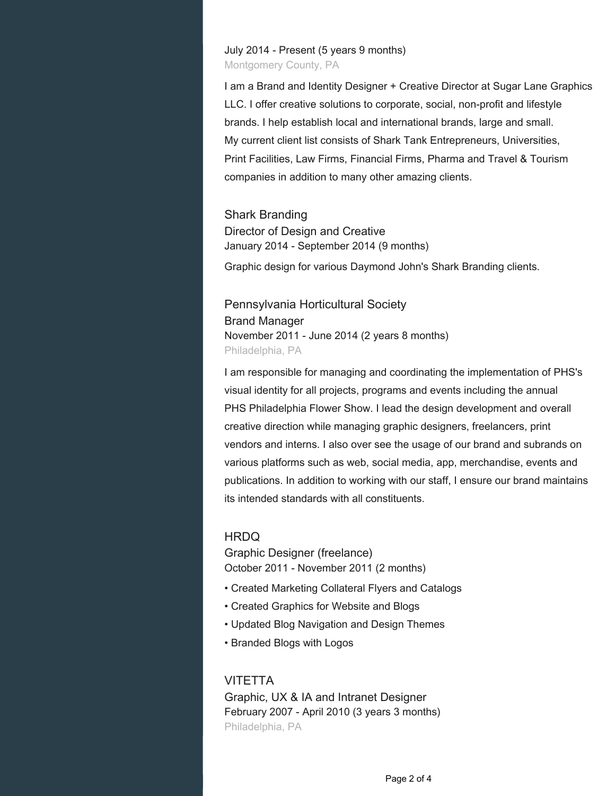July 2014 - Present (5 years 9 months) Montgomery County, PA

I am a Brand and Identity Designer + Creative Director at Sugar Lane Graphics LLC. I offer creative solutions to corporate, social, non-profit and lifestyle brands. I help establish local and international brands, large and small. My current client list consists of Shark Tank Entrepreneurs, Universities, Print Facilities, Law Firms, Financial Firms, Pharma and Travel & Tourism companies in addition to many other amazing clients.

Shark Branding Director of Design and Creative January 2014 - September 2014 (9 months)

Graphic design for various Daymond John's Shark Branding clients.

Pennsylvania Horticultural Society Brand Manager November 2011 - June 2014 (2 years 8 months) Philadelphia, PA

I am responsible for managing and coordinating the implementation of PHS's visual identity for all projects, programs and events including the annual PHS Philadelphia Flower Show. I lead the design development and overall creative direction while managing graphic designers, freelancers, print vendors and interns. I also over see the usage of our brand and subrands on various platforms such as web, social media, app, merchandise, events and publications. In addition to working with our staff, I ensure our brand maintains its intended standards with all constituents.

#### HRDQ

Graphic Designer (freelance) October 2011 - November 2011 (2 months)

- Created Marketing Collateral Flyers and Catalogs
- Created Graphics for Website and Blogs
- Updated Blog Navigation and Design Themes
- Branded Blogs with Logos

**VITETTA** Graphic, UX & IA and Intranet Designer February 2007 - April 2010 (3 years 3 months) Philadelphia, PA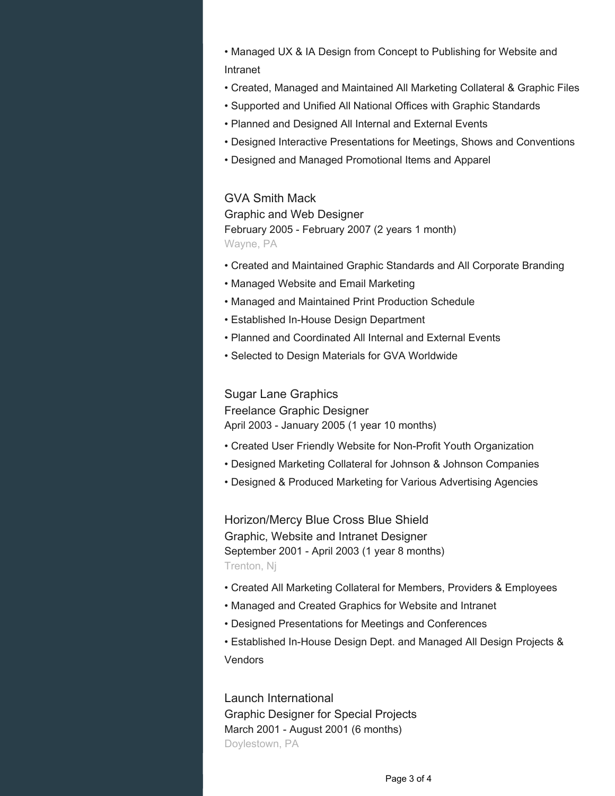- Managed UX & IA Design from Concept to Publishing for Website and Intranet
- Created, Managed and Maintained All Marketing Collateral & Graphic Files
- Supported and Unified All National Offices with Graphic Standards
- Planned and Designed All Internal and External Events
- Designed Interactive Presentations for Meetings, Shows and Conventions
- Designed and Managed Promotional Items and Apparel

#### GVA Smith Mack

Graphic and Web Designer February 2005 - February 2007 (2 years 1 month) Wayne, PA

- Created and Maintained Graphic Standards and All Corporate Branding
- Managed Website and Email Marketing
- Managed and Maintained Print Production Schedule
- Established In-House Design Department
- Planned and Coordinated All Internal and External Events
- Selected to Design Materials for GVA Worldwide

#### Sugar Lane Graphics

Freelance Graphic Designer April 2003 - January 2005 (1 year 10 months)

- Created User Friendly Website for Non-Profit Youth Organization
- Designed Marketing Collateral for Johnson & Johnson Companies
- Designed & Produced Marketing for Various Advertising Agencies

Horizon/Mercy Blue Cross Blue Shield Graphic, Website and Intranet Designer September 2001 - April 2003 (1 year 8 months) Trenton, Nj

- Created All Marketing Collateral for Members, Providers & Employees
- Managed and Created Graphics for Website and Intranet
- Designed Presentations for Meetings and Conferences
- Established In-House Design Dept. and Managed All Design Projects & Vendors

Launch International Graphic Designer for Special Projects March 2001 - August 2001 (6 months) Doylestown, PA